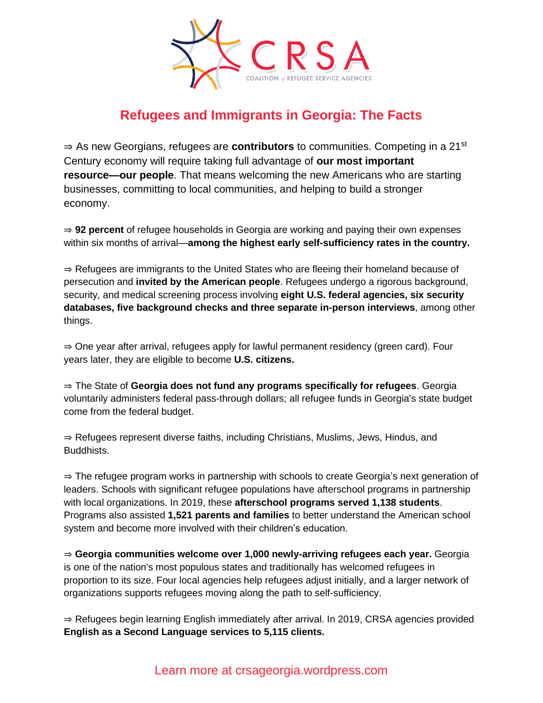

# **Refugees and Immigrants in Georgia: The Facts**

⇒ As new Georgians, refugees are **contributors** to communities. Competing in a 21st Century economy will require taking full advantage of **our most important resource—our people**. That means welcoming the new Americans who are starting businesses, committing to local communities, and helping to build a stronger economy.

⇒ **92 percent** of refugee households in Georgia are working and paying their own expenses within six months of arrival—**among the highest early self-sufficiency rates in the country.** 

⇒ Refugees are immigrants to the United States who are fleeing their homeland because of persecution and **invited by the American people**. Refugees undergo a rigorous background, security, and medical screening process involving **eight U.S. federal agencies, six security databases, five background checks and three separate in-person interviews**, among other things.

⇒ One year after arrival, refugees apply for lawful permanent residency (green card). Four years later, they are eligible to become **U.S. citizens.**

⇒ The State of **Georgia does not fund any programs specifically for refugees**. Georgia voluntarily administers federal pass-through dollars; all refugee funds in Georgia's state budget come from the federal budget.

⇒ Refugees represent diverse faiths, including Christians, Muslims, Jews, Hindus, and Buddhists.

⇒ The refugee program works in partnership with schools to create Georgia's next generation of leaders. Schools with significant refugee populations have afterschool programs in partnership with local organizations. In 2019, these **afterschool programs served 1,138 students**. Programs also assisted **1,521 parents and families** to better understand the American school system and become more involved with their children's education.

⇒ **Georgia communities welcome over 1,000 newly-arriving refugees each year.** Georgia is one of the nation's most populous states and traditionally has welcomed refugees in proportion to its size. Four local agencies help refugees adjust initially, and a larger network of organizations supports refugees moving along the path to self-sufficiency.

⇒ Refugees begin learning English immediately after arrival. In 2019, CRSA agencies provided **English as a Second Language services to 5,115 clients.**